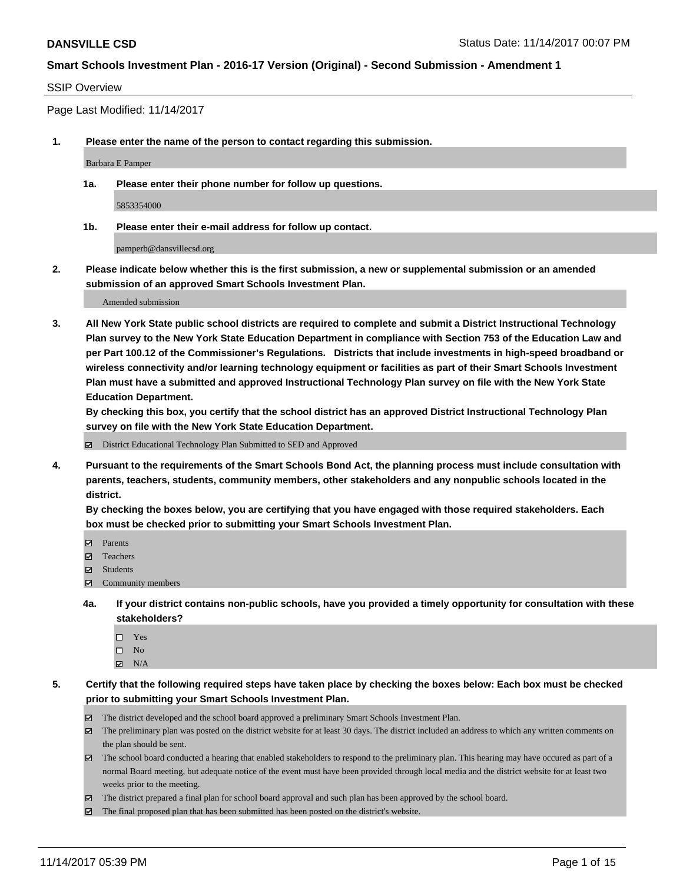#### SSIP Overview

Page Last Modified: 11/14/2017

**1. Please enter the name of the person to contact regarding this submission.**

Barbara E Pamper

**1a. Please enter their phone number for follow up questions.**

5853354000

**1b. Please enter their e-mail address for follow up contact.**

pamperb@dansvillecsd.org

**2. Please indicate below whether this is the first submission, a new or supplemental submission or an amended submission of an approved Smart Schools Investment Plan.**

Amended submission

**3. All New York State public school districts are required to complete and submit a District Instructional Technology Plan survey to the New York State Education Department in compliance with Section 753 of the Education Law and per Part 100.12 of the Commissioner's Regulations. Districts that include investments in high-speed broadband or wireless connectivity and/or learning technology equipment or facilities as part of their Smart Schools Investment Plan must have a submitted and approved Instructional Technology Plan survey on file with the New York State Education Department.** 

**By checking this box, you certify that the school district has an approved District Instructional Technology Plan survey on file with the New York State Education Department.**

District Educational Technology Plan Submitted to SED and Approved

**4. Pursuant to the requirements of the Smart Schools Bond Act, the planning process must include consultation with parents, teachers, students, community members, other stakeholders and any nonpublic schools located in the district.** 

**By checking the boxes below, you are certifying that you have engaged with those required stakeholders. Each box must be checked prior to submitting your Smart Schools Investment Plan.**

- **Parents**
- Teachers
- **☑** Students
- Community members
- **4a. If your district contains non-public schools, have you provided a timely opportunity for consultation with these stakeholders?**
	- □ Yes
	- $\square$  No
	- $\boxtimes$  N/A

**5. Certify that the following required steps have taken place by checking the boxes below: Each box must be checked prior to submitting your Smart Schools Investment Plan.**

- The district developed and the school board approved a preliminary Smart Schools Investment Plan.
- The preliminary plan was posted on the district website for at least 30 days. The district included an address to which any written comments on the plan should be sent.
- The school board conducted a hearing that enabled stakeholders to respond to the preliminary plan. This hearing may have occured as part of a normal Board meeting, but adequate notice of the event must have been provided through local media and the district website for at least two weeks prior to the meeting.
- The district prepared a final plan for school board approval and such plan has been approved by the school board.
- $\boxtimes$  The final proposed plan that has been submitted has been posted on the district's website.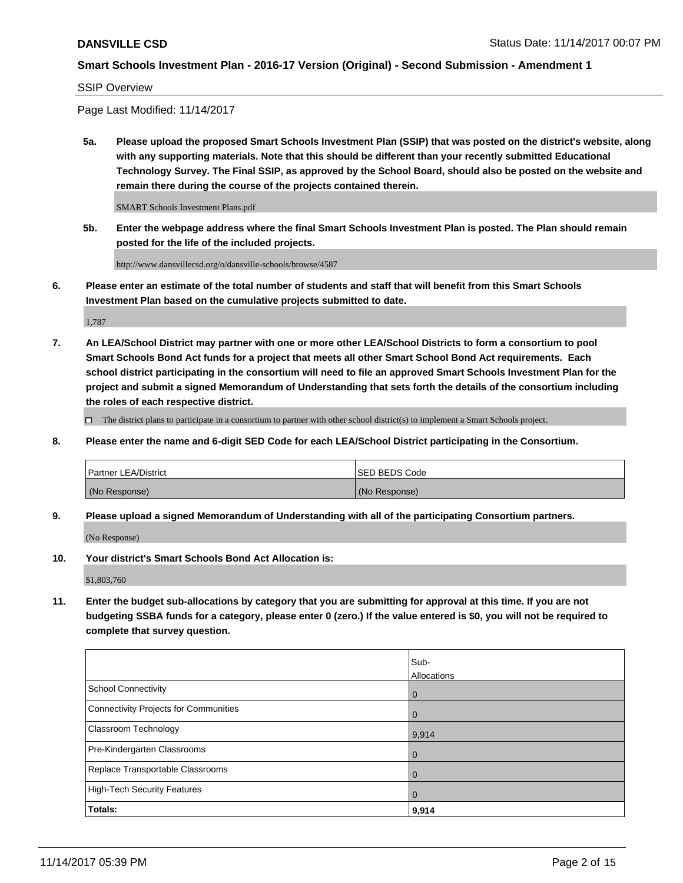SSIP Overview

Page Last Modified: 11/14/2017

**5a. Please upload the proposed Smart Schools Investment Plan (SSIP) that was posted on the district's website, along with any supporting materials. Note that this should be different than your recently submitted Educational Technology Survey. The Final SSIP, as approved by the School Board, should also be posted on the website and remain there during the course of the projects contained therein.**

SMART Schools Investment Plans.pdf

**5b. Enter the webpage address where the final Smart Schools Investment Plan is posted. The Plan should remain posted for the life of the included projects.**

http://www.dansvillecsd.org/o/dansville-schools/browse/4587

**6. Please enter an estimate of the total number of students and staff that will benefit from this Smart Schools Investment Plan based on the cumulative projects submitted to date.**

1,787

**7. An LEA/School District may partner with one or more other LEA/School Districts to form a consortium to pool Smart Schools Bond Act funds for a project that meets all other Smart School Bond Act requirements. Each school district participating in the consortium will need to file an approved Smart Schools Investment Plan for the project and submit a signed Memorandum of Understanding that sets forth the details of the consortium including the roles of each respective district.**

 $\Box$  The district plans to participate in a consortium to partner with other school district(s) to implement a Smart Schools project.

**8. Please enter the name and 6-digit SED Code for each LEA/School District participating in the Consortium.**

| <b>Partner LEA/District</b> | <b>ISED BEDS Code</b> |
|-----------------------------|-----------------------|
| (No Response)               | (No Response)         |

**9. Please upload a signed Memorandum of Understanding with all of the participating Consortium partners.**

(No Response)

**10. Your district's Smart Schools Bond Act Allocation is:**

\$1,803,760

**11. Enter the budget sub-allocations by category that you are submitting for approval at this time. If you are not budgeting SSBA funds for a category, please enter 0 (zero.) If the value entered is \$0, you will not be required to complete that survey question.**

|                                              | Sub-<br>Allocations |
|----------------------------------------------|---------------------|
| <b>School Connectivity</b>                   | $\mathbf 0$         |
| <b>Connectivity Projects for Communities</b> | 0                   |
| Classroom Technology                         | 9,914               |
| Pre-Kindergarten Classrooms                  | $\overline{0}$      |
| Replace Transportable Classrooms             | $\mathbf 0$         |
| <b>High-Tech Security Features</b>           | $\overline{0}$      |
| Totals:                                      | 9,914               |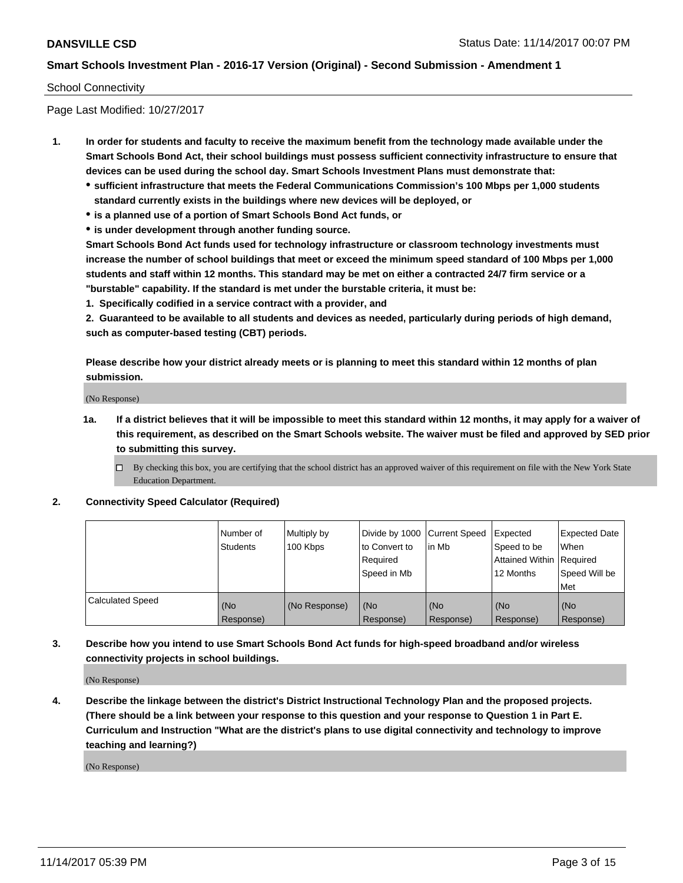#### School Connectivity

Page Last Modified: 10/27/2017

- **1. In order for students and faculty to receive the maximum benefit from the technology made available under the Smart Schools Bond Act, their school buildings must possess sufficient connectivity infrastructure to ensure that devices can be used during the school day. Smart Schools Investment Plans must demonstrate that:**
	- **sufficient infrastructure that meets the Federal Communications Commission's 100 Mbps per 1,000 students standard currently exists in the buildings where new devices will be deployed, or**
	- **is a planned use of a portion of Smart Schools Bond Act funds, or**
	- **is under development through another funding source.**

**Smart Schools Bond Act funds used for technology infrastructure or classroom technology investments must increase the number of school buildings that meet or exceed the minimum speed standard of 100 Mbps per 1,000 students and staff within 12 months. This standard may be met on either a contracted 24/7 firm service or a "burstable" capability. If the standard is met under the burstable criteria, it must be:**

**1. Specifically codified in a service contract with a provider, and**

**2. Guaranteed to be available to all students and devices as needed, particularly during periods of high demand, such as computer-based testing (CBT) periods.**

**Please describe how your district already meets or is planning to meet this standard within 12 months of plan submission.**

(No Response)

**1a. If a district believes that it will be impossible to meet this standard within 12 months, it may apply for a waiver of this requirement, as described on the Smart Schools website. The waiver must be filed and approved by SED prior to submitting this survey.**

**2. Connectivity Speed Calculator (Required)**

|                         | Number of<br><b>Students</b> | Multiply by<br>100 Kbps | Divide by 1000   Current Speed<br>to Convert to<br>Required<br>Speed in Mb | lin Mb           | Expected<br>Speed to be<br>Attained Within   Required<br>12 Months | <b>Expected Date</b><br>When<br>Speed Will be<br>Met |
|-------------------------|------------------------------|-------------------------|----------------------------------------------------------------------------|------------------|--------------------------------------------------------------------|------------------------------------------------------|
| <b>Calculated Speed</b> | (No<br>Response)             | (No Response)           | (No<br>Response)                                                           | (No<br>Response) | (No<br>Response)                                                   | (No<br>Response)                                     |

**3. Describe how you intend to use Smart Schools Bond Act funds for high-speed broadband and/or wireless connectivity projects in school buildings.**

(No Response)

**4. Describe the linkage between the district's District Instructional Technology Plan and the proposed projects. (There should be a link between your response to this question and your response to Question 1 in Part E. Curriculum and Instruction "What are the district's plans to use digital connectivity and technology to improve teaching and learning?)**

(No Response)

 $\Box$  By checking this box, you are certifying that the school district has an approved waiver of this requirement on file with the New York State Education Department.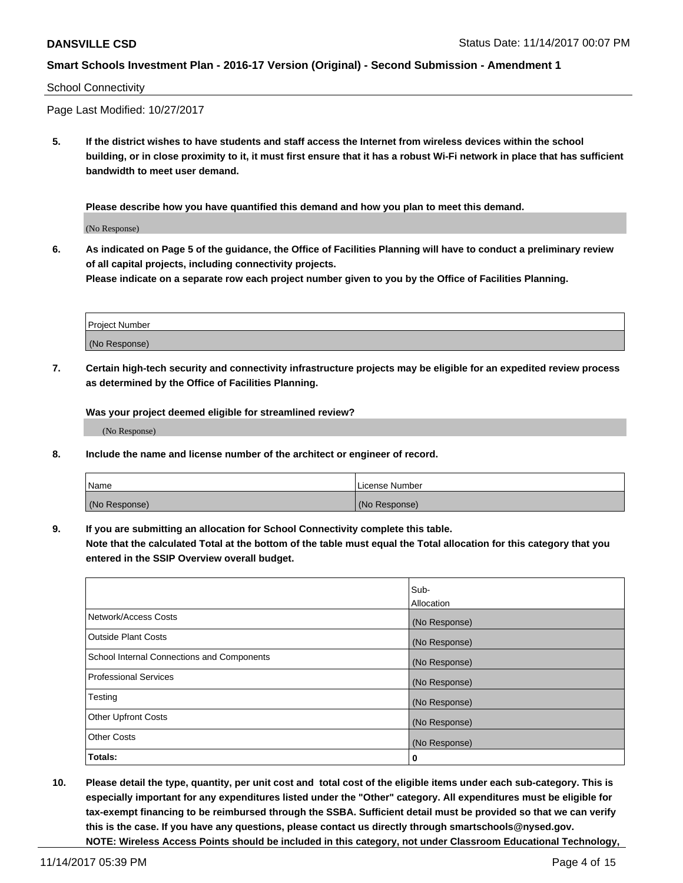#### School Connectivity

Page Last Modified: 10/27/2017

**5. If the district wishes to have students and staff access the Internet from wireless devices within the school building, or in close proximity to it, it must first ensure that it has a robust Wi-Fi network in place that has sufficient bandwidth to meet user demand.**

**Please describe how you have quantified this demand and how you plan to meet this demand.**

(No Response)

**6. As indicated on Page 5 of the guidance, the Office of Facilities Planning will have to conduct a preliminary review of all capital projects, including connectivity projects.**

**Please indicate on a separate row each project number given to you by the Office of Facilities Planning.**

| Project Number |  |
|----------------|--|
|                |  |
|                |  |
|                |  |
| (No Response)  |  |
|                |  |
|                |  |

**7. Certain high-tech security and connectivity infrastructure projects may be eligible for an expedited review process as determined by the Office of Facilities Planning.**

**Was your project deemed eligible for streamlined review?**

(No Response)

**8. Include the name and license number of the architect or engineer of record.**

| Name          | License Number |
|---------------|----------------|
| (No Response) | (No Response)  |

**9. If you are submitting an allocation for School Connectivity complete this table.**

**Note that the calculated Total at the bottom of the table must equal the Total allocation for this category that you entered in the SSIP Overview overall budget.** 

|                                            | Sub-          |
|--------------------------------------------|---------------|
|                                            | Allocation    |
| Network/Access Costs                       | (No Response) |
| <b>Outside Plant Costs</b>                 | (No Response) |
| School Internal Connections and Components | (No Response) |
| <b>Professional Services</b>               | (No Response) |
| Testing                                    | (No Response) |
| <b>Other Upfront Costs</b>                 | (No Response) |
| <b>Other Costs</b>                         | (No Response) |
| Totals:                                    | 0             |

**10. Please detail the type, quantity, per unit cost and total cost of the eligible items under each sub-category. This is especially important for any expenditures listed under the "Other" category. All expenditures must be eligible for tax-exempt financing to be reimbursed through the SSBA. Sufficient detail must be provided so that we can verify this is the case. If you have any questions, please contact us directly through smartschools@nysed.gov. NOTE: Wireless Access Points should be included in this category, not under Classroom Educational Technology,**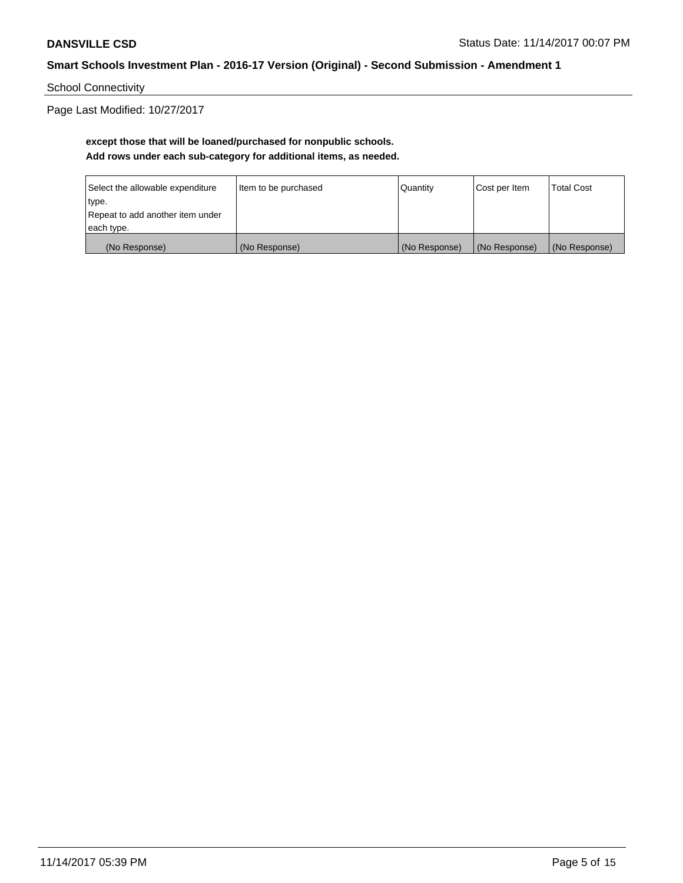School Connectivity

Page Last Modified: 10/27/2017

## **except those that will be loaned/purchased for nonpublic schools. Add rows under each sub-category for additional items, as needed.**

| Select the allowable expenditure | Item to be purchased | Quantity      | Cost per Item | <b>Total Cost</b> |
|----------------------------------|----------------------|---------------|---------------|-------------------|
| type.                            |                      |               |               |                   |
| Repeat to add another item under |                      |               |               |                   |
| each type.                       |                      |               |               |                   |
| (No Response)                    | (No Response)        | (No Response) | (No Response) | (No Response)     |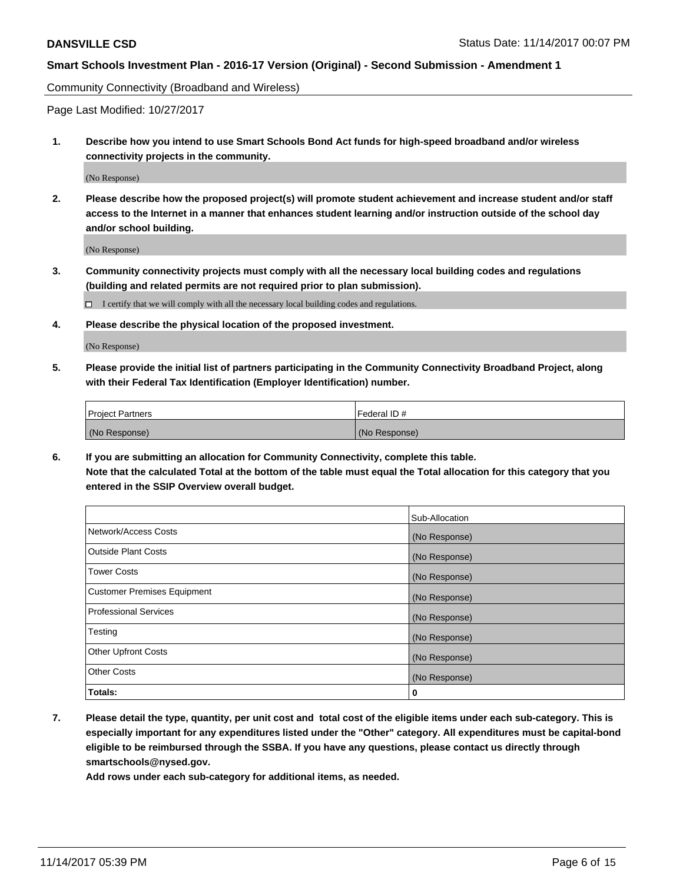Community Connectivity (Broadband and Wireless)

Page Last Modified: 10/27/2017

**1. Describe how you intend to use Smart Schools Bond Act funds for high-speed broadband and/or wireless connectivity projects in the community.**

(No Response)

**2. Please describe how the proposed project(s) will promote student achievement and increase student and/or staff access to the Internet in a manner that enhances student learning and/or instruction outside of the school day and/or school building.**

(No Response)

**3. Community connectivity projects must comply with all the necessary local building codes and regulations (building and related permits are not required prior to plan submission).**

 $\Box$  I certify that we will comply with all the necessary local building codes and regulations.

**4. Please describe the physical location of the proposed investment.**

(No Response)

**5. Please provide the initial list of partners participating in the Community Connectivity Broadband Project, along with their Federal Tax Identification (Employer Identification) number.**

| <b>Project Partners</b> | l Federal ID # |
|-------------------------|----------------|
| (No Response)           | (No Response)  |

**6. If you are submitting an allocation for Community Connectivity, complete this table. Note that the calculated Total at the bottom of the table must equal the Total allocation for this category that you entered in the SSIP Overview overall budget.**

|                                    | Sub-Allocation |
|------------------------------------|----------------|
| Network/Access Costs               | (No Response)  |
| <b>Outside Plant Costs</b>         | (No Response)  |
| <b>Tower Costs</b>                 | (No Response)  |
| <b>Customer Premises Equipment</b> | (No Response)  |
| <b>Professional Services</b>       | (No Response)  |
| Testing                            | (No Response)  |
| <b>Other Upfront Costs</b>         | (No Response)  |
| <b>Other Costs</b>                 | (No Response)  |
| Totals:                            | 0              |

**7. Please detail the type, quantity, per unit cost and total cost of the eligible items under each sub-category. This is especially important for any expenditures listed under the "Other" category. All expenditures must be capital-bond eligible to be reimbursed through the SSBA. If you have any questions, please contact us directly through smartschools@nysed.gov.**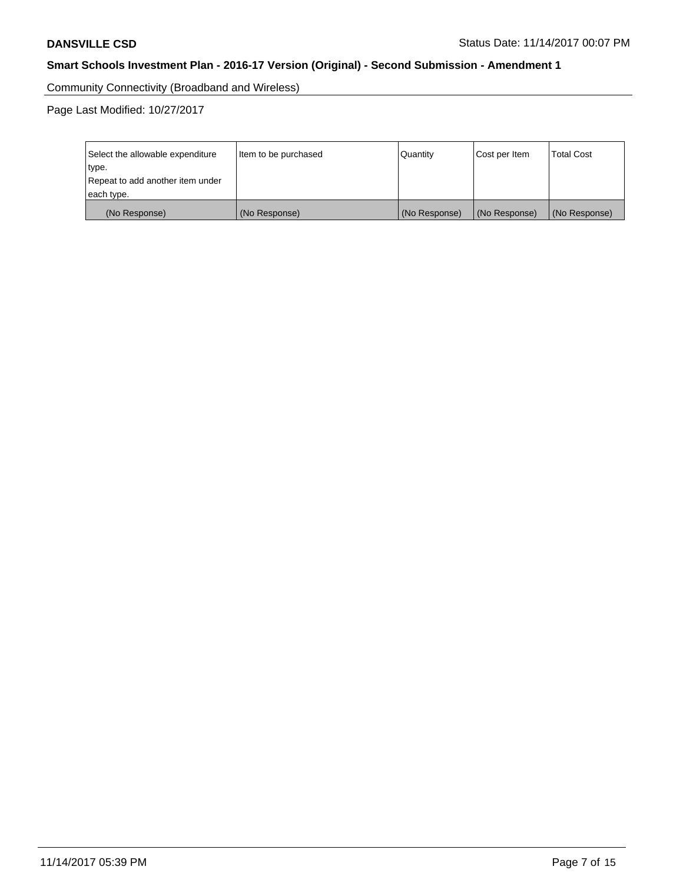Community Connectivity (Broadband and Wireless)

Page Last Modified: 10/27/2017

| Select the allowable expenditure<br>type.<br>Repeat to add another item under | Item to be purchased | Quantity      | Cost per Item | <b>Total Cost</b> |
|-------------------------------------------------------------------------------|----------------------|---------------|---------------|-------------------|
| each type.                                                                    |                      |               |               |                   |
| (No Response)                                                                 | (No Response)        | (No Response) | (No Response) | (No Response)     |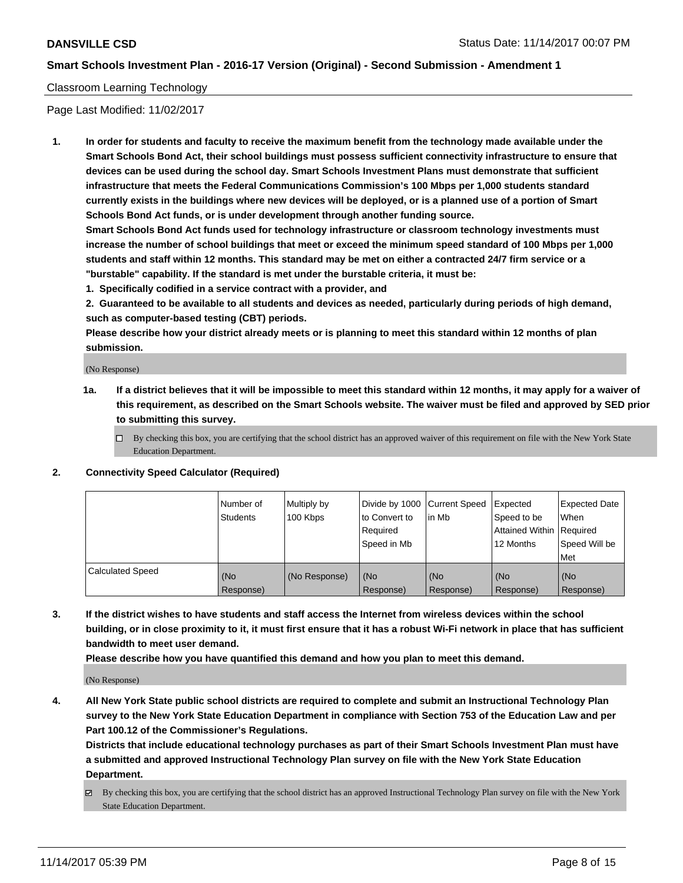### Classroom Learning Technology

Page Last Modified: 11/02/2017

**1. In order for students and faculty to receive the maximum benefit from the technology made available under the Smart Schools Bond Act, their school buildings must possess sufficient connectivity infrastructure to ensure that devices can be used during the school day. Smart Schools Investment Plans must demonstrate that sufficient infrastructure that meets the Federal Communications Commission's 100 Mbps per 1,000 students standard currently exists in the buildings where new devices will be deployed, or is a planned use of a portion of Smart Schools Bond Act funds, or is under development through another funding source.**

**Smart Schools Bond Act funds used for technology infrastructure or classroom technology investments must increase the number of school buildings that meet or exceed the minimum speed standard of 100 Mbps per 1,000 students and staff within 12 months. This standard may be met on either a contracted 24/7 firm service or a "burstable" capability. If the standard is met under the burstable criteria, it must be:**

**1. Specifically codified in a service contract with a provider, and**

**2. Guaranteed to be available to all students and devices as needed, particularly during periods of high demand, such as computer-based testing (CBT) periods.**

**Please describe how your district already meets or is planning to meet this standard within 12 months of plan submission.**

(No Response)

- **1a. If a district believes that it will be impossible to meet this standard within 12 months, it may apply for a waiver of this requirement, as described on the Smart Schools website. The waiver must be filed and approved by SED prior to submitting this survey.**
	- $\Box$  By checking this box, you are certifying that the school district has an approved waiver of this requirement on file with the New York State Education Department.
- **2. Connectivity Speed Calculator (Required)**

|                         | Number of<br><b>Students</b> | Multiply by<br>100 Kbps | Divide by 1000 Current Speed<br>to Convert to<br>Reauired<br>Speed in Mb | l in Mb          | Expected<br>Speed to be<br>Attained Within   Required<br>12 Months | Expected Date<br>When<br>Speed Will be<br>Met |
|-------------------------|------------------------------|-------------------------|--------------------------------------------------------------------------|------------------|--------------------------------------------------------------------|-----------------------------------------------|
| <b>Calculated Speed</b> | (No<br>Response)             | (No Response)           | (No<br>Response)                                                         | (No<br>Response) | (No<br>Response)                                                   | (No<br>Response)                              |

**3. If the district wishes to have students and staff access the Internet from wireless devices within the school building, or in close proximity to it, it must first ensure that it has a robust Wi-Fi network in place that has sufficient bandwidth to meet user demand.**

**Please describe how you have quantified this demand and how you plan to meet this demand.**

(No Response)

**4. All New York State public school districts are required to complete and submit an Instructional Technology Plan survey to the New York State Education Department in compliance with Section 753 of the Education Law and per Part 100.12 of the Commissioner's Regulations.**

**Districts that include educational technology purchases as part of their Smart Schools Investment Plan must have a submitted and approved Instructional Technology Plan survey on file with the New York State Education Department.**

By checking this box, you are certifying that the school district has an approved Instructional Technology Plan survey on file with the New York State Education Department.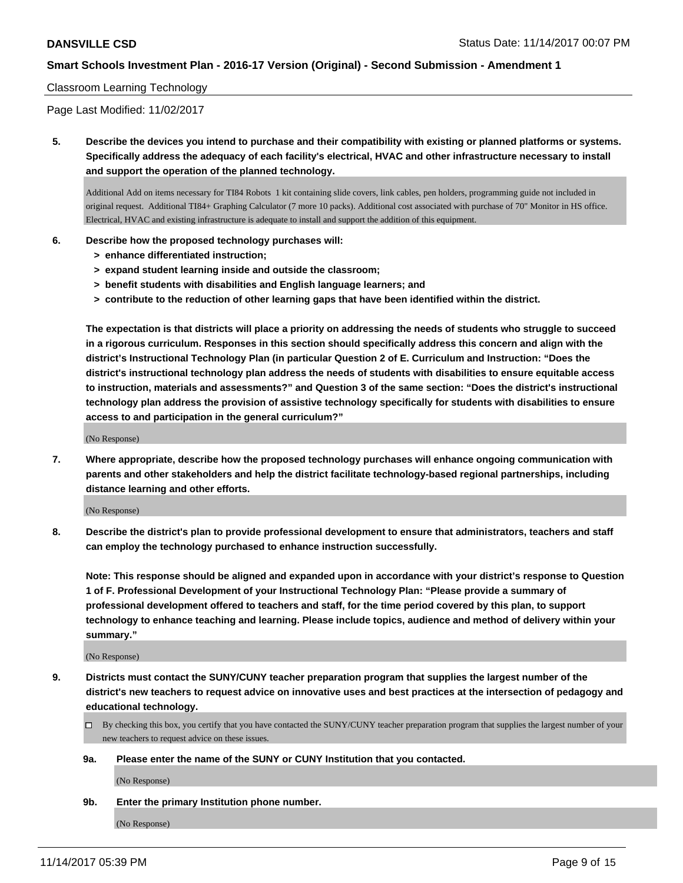#### Classroom Learning Technology

Page Last Modified: 11/02/2017

**5. Describe the devices you intend to purchase and their compatibility with existing or planned platforms or systems. Specifically address the adequacy of each facility's electrical, HVAC and other infrastructure necessary to install and support the operation of the planned technology.**

Additional Add on items necessary for TI84 Robots 1 kit containing slide covers, link cables, pen holders, programming guide not included in original request. Additional TI84+ Graphing Calculator (7 more 10 packs). Additional cost associated with purchase of 70" Monitor in HS office. Electrical, HVAC and existing infrastructure is adequate to install and support the addition of this equipment.

- **6. Describe how the proposed technology purchases will:**
	- **> enhance differentiated instruction;**
	- **> expand student learning inside and outside the classroom;**
	- **> benefit students with disabilities and English language learners; and**
	- **> contribute to the reduction of other learning gaps that have been identified within the district.**

**The expectation is that districts will place a priority on addressing the needs of students who struggle to succeed in a rigorous curriculum. Responses in this section should specifically address this concern and align with the district's Instructional Technology Plan (in particular Question 2 of E. Curriculum and Instruction: "Does the district's instructional technology plan address the needs of students with disabilities to ensure equitable access to instruction, materials and assessments?" and Question 3 of the same section: "Does the district's instructional technology plan address the provision of assistive technology specifically for students with disabilities to ensure access to and participation in the general curriculum?"**

(No Response)

**7. Where appropriate, describe how the proposed technology purchases will enhance ongoing communication with parents and other stakeholders and help the district facilitate technology-based regional partnerships, including distance learning and other efforts.**

(No Response)

**8. Describe the district's plan to provide professional development to ensure that administrators, teachers and staff can employ the technology purchased to enhance instruction successfully.**

**Note: This response should be aligned and expanded upon in accordance with your district's response to Question 1 of F. Professional Development of your Instructional Technology Plan: "Please provide a summary of professional development offered to teachers and staff, for the time period covered by this plan, to support technology to enhance teaching and learning. Please include topics, audience and method of delivery within your summary."**

(No Response)

**9. Districts must contact the SUNY/CUNY teacher preparation program that supplies the largest number of the district's new teachers to request advice on innovative uses and best practices at the intersection of pedagogy and educational technology.**

□ By checking this box, you certify that you have contacted the SUNY/CUNY teacher preparation program that supplies the largest number of your new teachers to request advice on these issues.

**9a. Please enter the name of the SUNY or CUNY Institution that you contacted.**

(No Response)

**9b. Enter the primary Institution phone number.**

(No Response)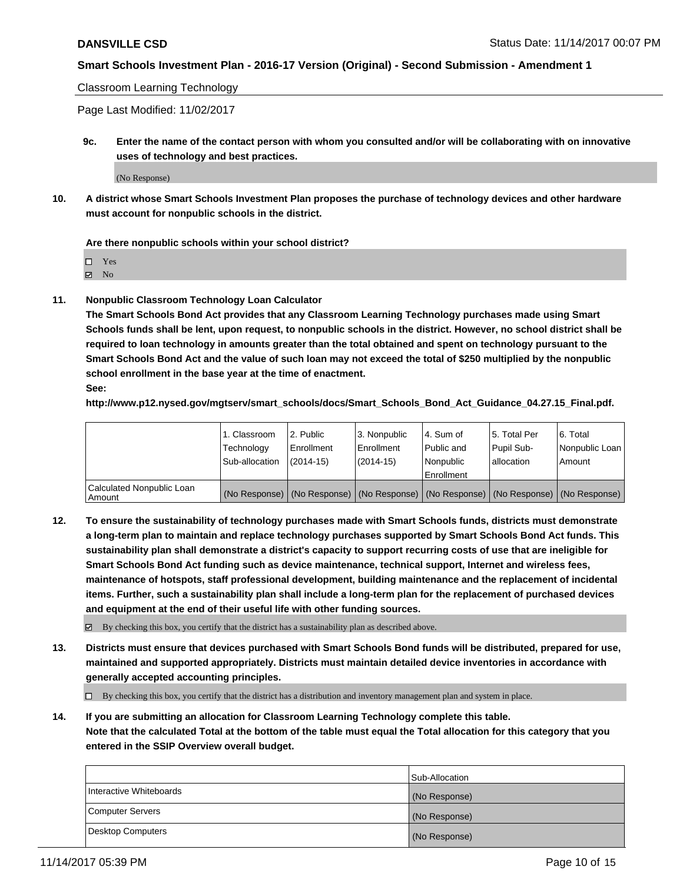Classroom Learning Technology

Page Last Modified: 11/02/2017

**9c. Enter the name of the contact person with whom you consulted and/or will be collaborating with on innovative uses of technology and best practices.**

(No Response)

**10. A district whose Smart Schools Investment Plan proposes the purchase of technology devices and other hardware must account for nonpublic schools in the district.**

**Are there nonpublic schools within your school district?**

Yes

 $\boxtimes$  No

**11. Nonpublic Classroom Technology Loan Calculator**

**The Smart Schools Bond Act provides that any Classroom Learning Technology purchases made using Smart Schools funds shall be lent, upon request, to nonpublic schools in the district. However, no school district shall be required to loan technology in amounts greater than the total obtained and spent on technology pursuant to the Smart Schools Bond Act and the value of such loan may not exceed the total of \$250 multiplied by the nonpublic school enrollment in the base year at the time of enactment.**

**See:**

**http://www.p12.nysed.gov/mgtserv/smart\_schools/docs/Smart\_Schools\_Bond\_Act\_Guidance\_04.27.15\_Final.pdf.**

|                                       | 1. Classroom   | l 2. Public   | 3. Nonpublic | l 4. Sum of | 15. Total Per                                                                                 | 6. Total       |
|---------------------------------------|----------------|---------------|--------------|-------------|-----------------------------------------------------------------------------------------------|----------------|
|                                       | Technology     | Enrollment    | Enrollment   | Public and  | Pupil Sub-                                                                                    | Nonpublic Loan |
|                                       | Sub-allocation | $(2014 - 15)$ | $(2014-15)$  | l Nonpublic | allocation                                                                                    | Amount         |
|                                       |                |               |              | Enrollment  |                                                                                               |                |
| Calculated Nonpublic Loan<br>  Amount |                |               |              |             | (No Response)   (No Response)   (No Response)   (No Response)   (No Response)   (No Response) |                |

**12. To ensure the sustainability of technology purchases made with Smart Schools funds, districts must demonstrate a long-term plan to maintain and replace technology purchases supported by Smart Schools Bond Act funds. This sustainability plan shall demonstrate a district's capacity to support recurring costs of use that are ineligible for Smart Schools Bond Act funding such as device maintenance, technical support, Internet and wireless fees, maintenance of hotspots, staff professional development, building maintenance and the replacement of incidental items. Further, such a sustainability plan shall include a long-term plan for the replacement of purchased devices and equipment at the end of their useful life with other funding sources.**

 $\boxtimes$  By checking this box, you certify that the district has a sustainability plan as described above.

**13. Districts must ensure that devices purchased with Smart Schools Bond funds will be distributed, prepared for use, maintained and supported appropriately. Districts must maintain detailed device inventories in accordance with generally accepted accounting principles.**

By checking this box, you certify that the district has a distribution and inventory management plan and system in place.

**14. If you are submitting an allocation for Classroom Learning Technology complete this table. Note that the calculated Total at the bottom of the table must equal the Total allocation for this category that you entered in the SSIP Overview overall budget.**

|                         | Sub-Allocation |
|-------------------------|----------------|
| Interactive Whiteboards | (No Response)  |
| Computer Servers        | (No Response)  |
| Desktop Computers       | (No Response)  |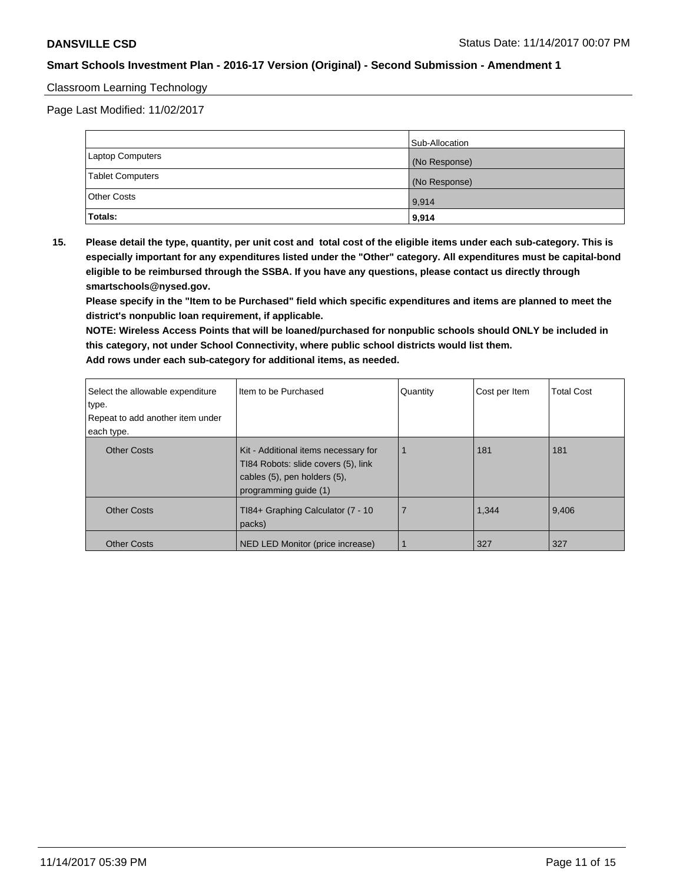### Classroom Learning Technology

Page Last Modified: 11/02/2017

|                    | Sub-Allocation |
|--------------------|----------------|
| Laptop Computers   | (No Response)  |
| Tablet Computers   | (No Response)  |
| <b>Other Costs</b> | 9,914          |
| Totals:            | 9,914          |

**15. Please detail the type, quantity, per unit cost and total cost of the eligible items under each sub-category. This is especially important for any expenditures listed under the "Other" category. All expenditures must be capital-bond eligible to be reimbursed through the SSBA. If you have any questions, please contact us directly through smartschools@nysed.gov.**

**Please specify in the "Item to be Purchased" field which specific expenditures and items are planned to meet the district's nonpublic loan requirement, if applicable.**

**NOTE: Wireless Access Points that will be loaned/purchased for nonpublic schools should ONLY be included in this category, not under School Connectivity, where public school districts would list them. Add rows under each sub-category for additional items, as needed.**

| Select the allowable expenditure<br>type.<br>Repeat to add another item under | I Item to be Purchased                                                                                                               | Quantity | Cost per Item | <b>Total Cost</b> |
|-------------------------------------------------------------------------------|--------------------------------------------------------------------------------------------------------------------------------------|----------|---------------|-------------------|
| each type.                                                                    |                                                                                                                                      |          |               |                   |
| <b>Other Costs</b>                                                            | Kit - Additional items necessary for<br>TI84 Robots: slide covers (5), link<br>cables (5), pen holders (5),<br>programming guide (1) |          | 181           | 181               |
| <b>Other Costs</b>                                                            | TI84+ Graphing Calculator (7 - 10<br>packs)                                                                                          | 7        | 1,344         | 9,406             |
| <b>Other Costs</b>                                                            | NED LED Monitor (price increase)                                                                                                     |          | 327           | 327               |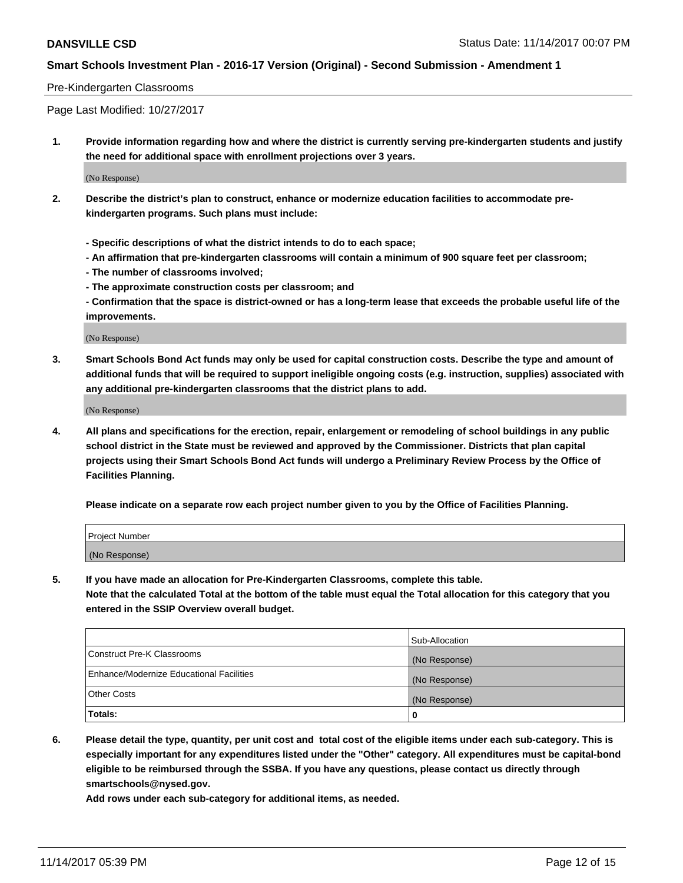#### Pre-Kindergarten Classrooms

Page Last Modified: 10/27/2017

**1. Provide information regarding how and where the district is currently serving pre-kindergarten students and justify the need for additional space with enrollment projections over 3 years.**

(No Response)

- **2. Describe the district's plan to construct, enhance or modernize education facilities to accommodate prekindergarten programs. Such plans must include:**
	- **Specific descriptions of what the district intends to do to each space;**
	- **An affirmation that pre-kindergarten classrooms will contain a minimum of 900 square feet per classroom;**
	- **The number of classrooms involved;**
	- **The approximate construction costs per classroom; and**

**- Confirmation that the space is district-owned or has a long-term lease that exceeds the probable useful life of the improvements.**

(No Response)

**3. Smart Schools Bond Act funds may only be used for capital construction costs. Describe the type and amount of additional funds that will be required to support ineligible ongoing costs (e.g. instruction, supplies) associated with any additional pre-kindergarten classrooms that the district plans to add.**

(No Response)

**4. All plans and specifications for the erection, repair, enlargement or remodeling of school buildings in any public school district in the State must be reviewed and approved by the Commissioner. Districts that plan capital projects using their Smart Schools Bond Act funds will undergo a Preliminary Review Process by the Office of Facilities Planning.**

**Please indicate on a separate row each project number given to you by the Office of Facilities Planning.**

| Project Number |  |
|----------------|--|
| (No Response)  |  |

**5. If you have made an allocation for Pre-Kindergarten Classrooms, complete this table.**

**Note that the calculated Total at the bottom of the table must equal the Total allocation for this category that you entered in the SSIP Overview overall budget.**

|                                          | Sub-Allocation |
|------------------------------------------|----------------|
| Construct Pre-K Classrooms               | (No Response)  |
| Enhance/Modernize Educational Facilities | (No Response)  |
| <b>Other Costs</b>                       | (No Response)  |
| <b>Totals:</b>                           | 0              |

**6. Please detail the type, quantity, per unit cost and total cost of the eligible items under each sub-category. This is especially important for any expenditures listed under the "Other" category. All expenditures must be capital-bond eligible to be reimbursed through the SSBA. If you have any questions, please contact us directly through smartschools@nysed.gov.**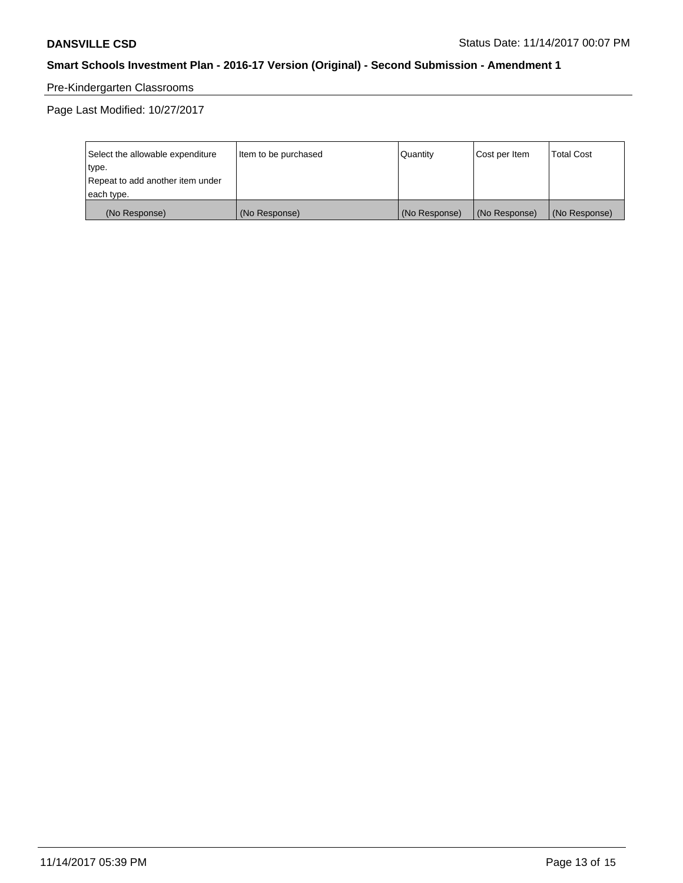# Pre-Kindergarten Classrooms

Page Last Modified: 10/27/2017

| Select the allowable expenditure | Item to be purchased | <b>Quantity</b> | Cost per Item | <b>Total Cost</b> |
|----------------------------------|----------------------|-----------------|---------------|-------------------|
| type.                            |                      |                 |               |                   |
| Repeat to add another item under |                      |                 |               |                   |
| each type.                       |                      |                 |               |                   |
| (No Response)                    | (No Response)        | (No Response)   | (No Response) | (No Response)     |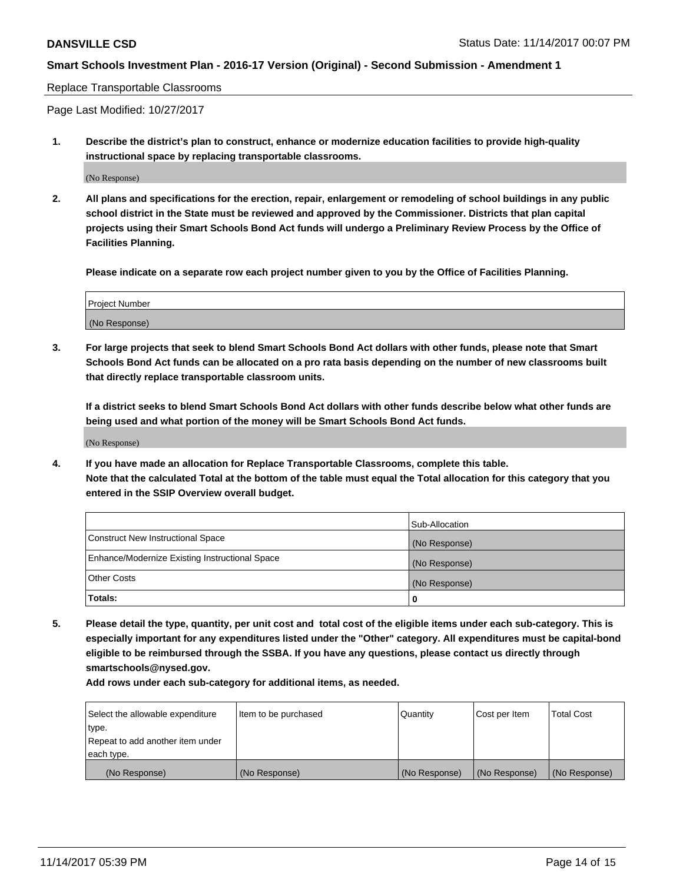#### Replace Transportable Classrooms

Page Last Modified: 10/27/2017

**1. Describe the district's plan to construct, enhance or modernize education facilities to provide high-quality instructional space by replacing transportable classrooms.**

(No Response)

**2. All plans and specifications for the erection, repair, enlargement or remodeling of school buildings in any public school district in the State must be reviewed and approved by the Commissioner. Districts that plan capital projects using their Smart Schools Bond Act funds will undergo a Preliminary Review Process by the Office of Facilities Planning.**

**Please indicate on a separate row each project number given to you by the Office of Facilities Planning.**

| <b>Project Number</b> |  |
|-----------------------|--|
| (No Response)         |  |

**3. For large projects that seek to blend Smart Schools Bond Act dollars with other funds, please note that Smart Schools Bond Act funds can be allocated on a pro rata basis depending on the number of new classrooms built that directly replace transportable classroom units.**

**If a district seeks to blend Smart Schools Bond Act dollars with other funds describe below what other funds are being used and what portion of the money will be Smart Schools Bond Act funds.**

(No Response)

**4. If you have made an allocation for Replace Transportable Classrooms, complete this table. Note that the calculated Total at the bottom of the table must equal the Total allocation for this category that you entered in the SSIP Overview overall budget.**

|                                                | Sub-Allocation |
|------------------------------------------------|----------------|
| Construct New Instructional Space              | (No Response)  |
| Enhance/Modernize Existing Instructional Space | (No Response)  |
| <b>Other Costs</b>                             | (No Response)  |
| Totals:                                        | 0              |

**5. Please detail the type, quantity, per unit cost and total cost of the eligible items under each sub-category. This is especially important for any expenditures listed under the "Other" category. All expenditures must be capital-bond eligible to be reimbursed through the SSBA. If you have any questions, please contact us directly through smartschools@nysed.gov.**

| Select the allowable expenditure<br>type.<br>Repeat to add another item under<br>each type. | Item to be purchased | Quantity      | Cost per Item | <b>Total Cost</b> |
|---------------------------------------------------------------------------------------------|----------------------|---------------|---------------|-------------------|
|                                                                                             |                      |               |               |                   |
| (No Response)                                                                               | (No Response)        | (No Response) | (No Response) | (No Response)     |